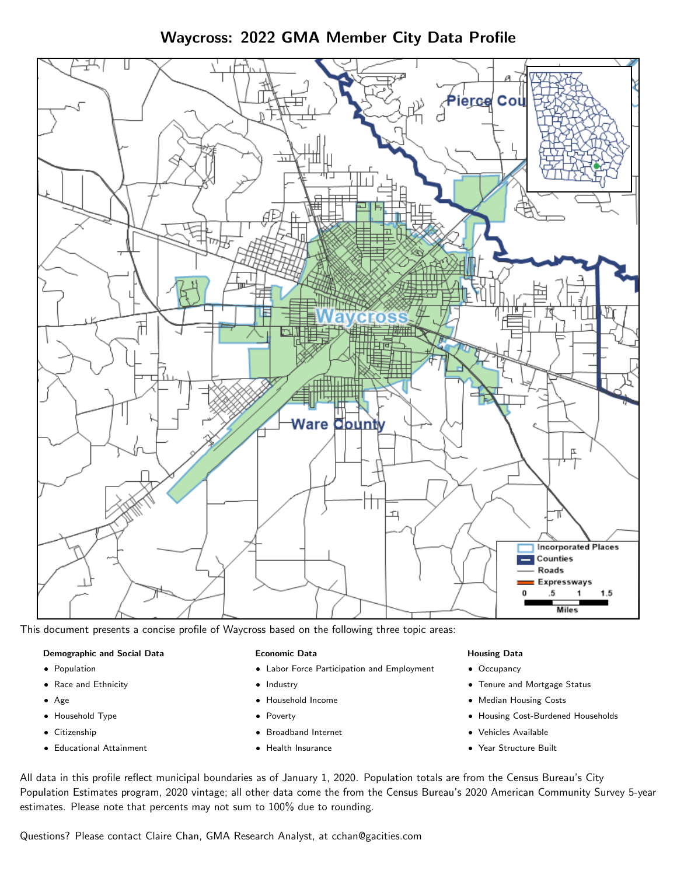Waycross: 2022 GMA Member City Data Profile



This document presents a concise profile of Waycross based on the following three topic areas:

# Demographic and Social Data

- **•** Population
- Race and Ethnicity
- Age
- Household Type
- **Citizenship**
- Educational Attainment

#### Economic Data

- Labor Force Participation and Employment
- Industry
- Household Income
- Poverty
- Broadband Internet
- Health Insurance

#### Housing Data

- Occupancy
- Tenure and Mortgage Status
- Median Housing Costs
- Housing Cost-Burdened Households
- Vehicles Available
- Year Structure Built

All data in this profile reflect municipal boundaries as of January 1, 2020. Population totals are from the Census Bureau's City Population Estimates program, 2020 vintage; all other data come the from the Census Bureau's 2020 American Community Survey 5-year estimates. Please note that percents may not sum to 100% due to rounding.

Questions? Please contact Claire Chan, GMA Research Analyst, at [cchan@gacities.com.](mailto:cchan@gacities.com)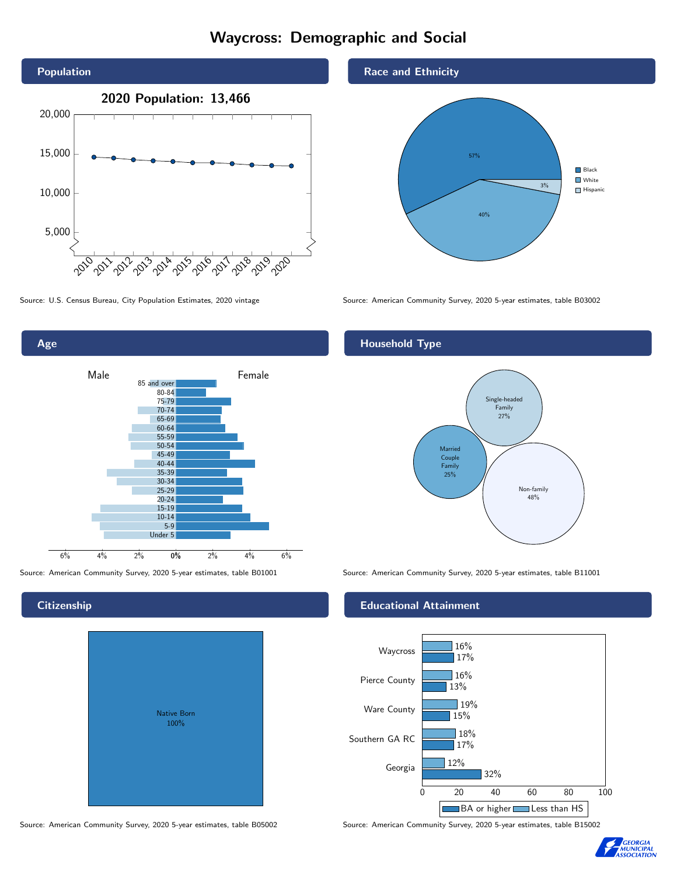# Waycross: Demographic and Social





Source: American Community Survey, 2020 5-year estimates, table B01001 Source: American Community Survey, 2020 5-year estimates, table B11001

**Citizenship** 



Race and Ethnicity



Source: U.S. Census Bureau, City Population Estimates, 2020 vintage Source: American Community Survey, 2020 5-year estimates, table B03002

## Household Type



#### Educational Attainment



Source: American Community Survey, 2020 5-year estimates, table B05002 Source: American Community Survey, 2020 5-year estimates, table B15002

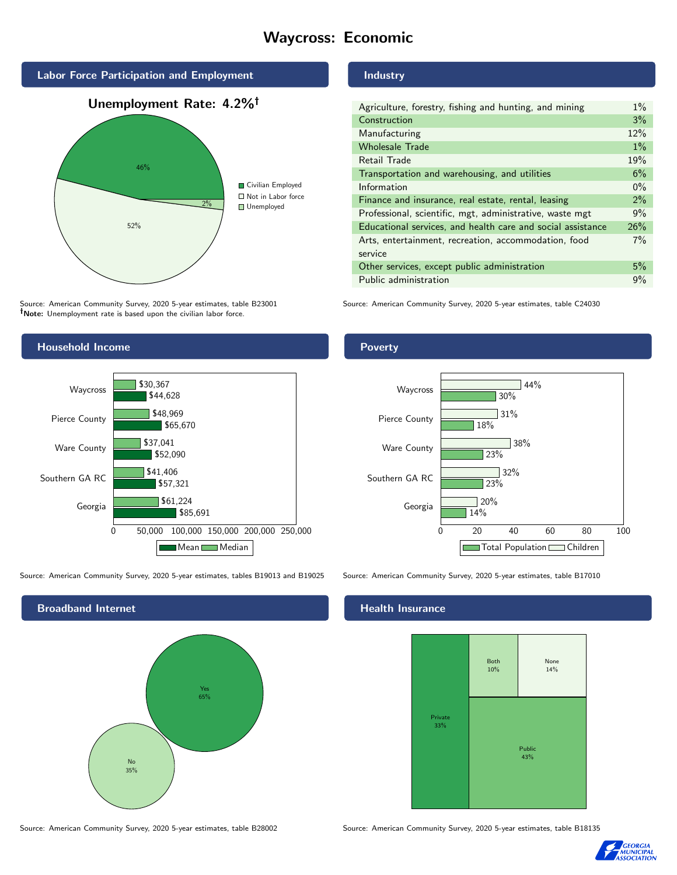# Waycross: Economic



Source: American Community Survey, 2020 5-year estimates, table B23001 Note: Unemployment rate is based upon the civilian labor force.

## Industry

| Agriculture, forestry, fishing and hunting, and mining      | $1\%$ |
|-------------------------------------------------------------|-------|
| Construction                                                | 3%    |
| Manufacturing                                               | 12%   |
| <b>Wholesale Trade</b>                                      | $1\%$ |
| Retail Trade                                                | 19%   |
| Transportation and warehousing, and utilities               | 6%    |
| Information                                                 | $0\%$ |
| Finance and insurance, real estate, rental, leasing         | 2%    |
| Professional, scientific, mgt, administrative, waste mgt    | 9%    |
| Educational services, and health care and social assistance | 26%   |
| Arts, entertainment, recreation, accommodation, food        | 7%    |
| service                                                     |       |
| Other services, except public administration                | 5%    |
| Public administration                                       | 9%    |
|                                                             |       |

Source: American Community Survey, 2020 5-year estimates, table C24030



Source: American Community Survey, 2020 5-year estimates, tables B19013 and B19025 Source: American Community Survey, 2020 5-year estimates, table B17010

Broadband Internet No 35% Yes 65%

#### Health Insurance



Source: American Community Survey, 2020 5-year estimates, table B28002 Source: American Community Survey, 2020 5-year estimates, table B18135



### **Poverty**